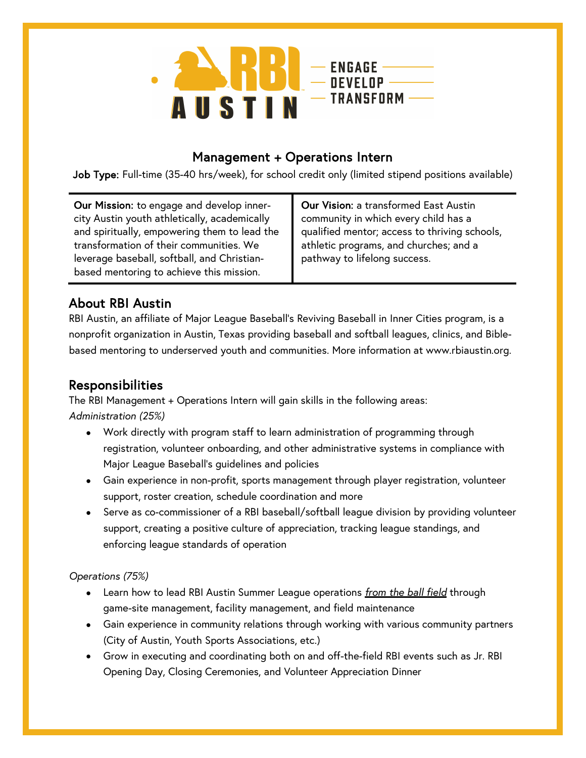

### Management + Operations Intern

Job Type: Full-time (35-40 hrs/week), for school credit only (limited stipend positions available)

Our Mission: to engage and develop innercity Austin youth athletically, academically and spiritually, empowering them to lead the transformation of their communities. We leverage baseball, softball, and Christianbased mentoring to achieve this mission.

Our Vision: a transformed East Austin community in which every child has a qualified mentor; access to thriving schools, athletic programs, and churches; and a pathway to lifelong success.

## About RBI Austin

RBI Austin, an affiliate of Major League Baseball's Reviving Baseball in Inner Cities program, is a nonprofit organization in Austin, Texas providing baseball and softball leagues, clinics, and Biblebased mentoring to underserved youth and communities. More information at www.rbiaustin.org.

### Responsibilities

The RBI Management + Operations Intern will gain skills in the following areas: *Administration (25%)*

- Work directly with program staff to learn administration of programming through registration, volunteer onboarding, and other administrative systems in compliance with Major League Baseball's guidelines and policies
- Gain experience in non-profit, sports management through player registration, volunteer support, roster creation, schedule coordination and more
- Serve as co-commissioner of a RBI baseball/softball league division by providing volunteer support, creating a positive culture of appreciation, tracking league standings, and enforcing league standards of operation

#### *Operations (75%)*

- Learn how to lead RBI Austin Summer League operations *from the ball field* through game-site management, facility management, and field maintenance
- Gain experience in community relations through working with various community partners (City of Austin, Youth Sports Associations, etc.)
- Grow in executing and coordinating both on and off-the-field RBI events such as Jr. RBI Opening Day, Closing Ceremonies, and Volunteer Appreciation Dinner